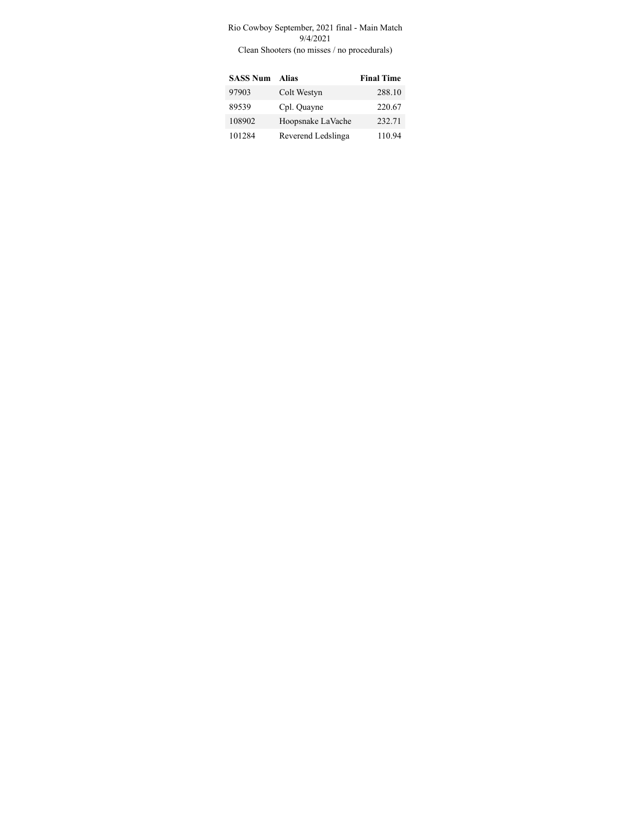## Rio Cowboy September, 2021 final - Main Match 9/4/2021

Clean Shooters (no misses / no procedurals)

| <b>SASS Num</b> | <b>Alias</b>       | <b>Final Time</b> |
|-----------------|--------------------|-------------------|
| 97903           | Colt Westyn        | 288.10            |
| 89539           | Cpl. Quayne        | 220.67            |
| 108902          | Hoopsnake LaVache  | 232.71            |
| 101284          | Reverend Ledslinga | 110.94            |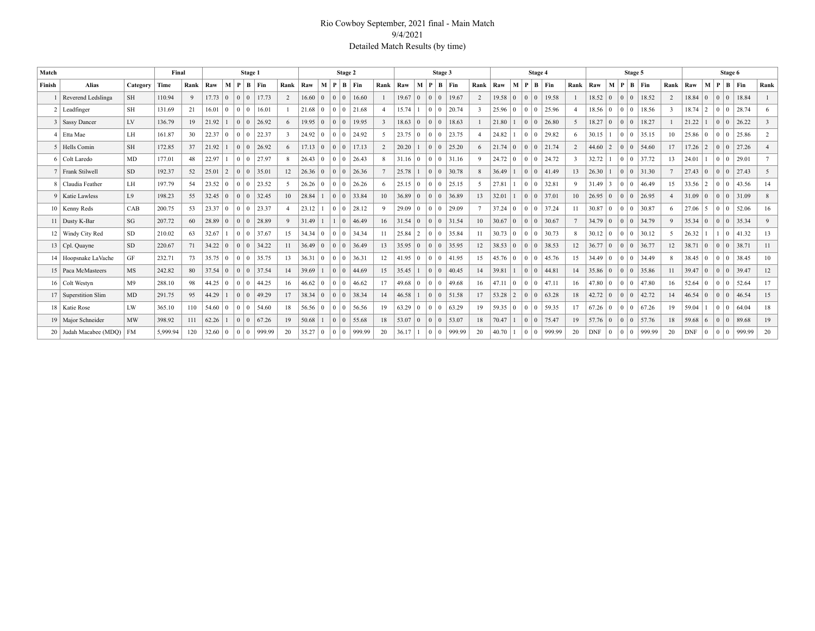## Rio Cowboy September, 2021 final - Main Match 9/4/2021 Detailed Match Results (by time)

| Match  |                        |                | Final    |      |                |                |                                  | Stage 1             |                |                |                 |        | Stage 2                                   |                       |                |                |                 |                 | Stage 3        |                       |              |                |                |                                | Stage 4        |           |                          |                |          |                                           | Stage 5 |                       |                |                |                                           | Stage 6         |                       |               |
|--------|------------------------|----------------|----------|------|----------------|----------------|----------------------------------|---------------------|----------------|----------------|-----------------|--------|-------------------------------------------|-----------------------|----------------|----------------|-----------------|-----------------|----------------|-----------------------|--------------|----------------|----------------|--------------------------------|----------------|-----------|--------------------------|----------------|----------|-------------------------------------------|---------|-----------------------|----------------|----------------|-------------------------------------------|-----------------|-----------------------|---------------|
| Finish | <b>Alias</b>           | Category       | Time     | Rank | Raw            | М              |                                  | $P \mid B \mid Fin$ | Rank   Raw     |                |                 | $+M$ . |                                           | $P \mid B \mid Fin$   | Rank           | Raw            | M               | P               | $B$   Fin      |                       | Rank   Raw   |                | $M \mid P$     |                                |                | $B$   Fin |                          | Rank   Raw     | M        | P                                         |         | $\vert$ B $\vert$ Fin | Rank           | Raw            | M   P                                     |                 | B Fin                 | Rank          |
|        | 1 Reverend Ledslinga   | <b>SH</b>      | 110.94   | 9    | $17.73 \pm 0$  |                | 0 <sup>1</sup><br>$\overline{0}$ | 17.73               | 2              | 16.60          | $\vert 0 \vert$ |        | $\begin{array}{c c} 0 & 0 \\ \end{array}$ | 16.60                 |                | 19.67          | $\vert 0 \vert$ | $\Omega$        | $\overline{0}$ | 19.67                 | 2            | $19.58 \mid 0$ |                | $\overline{0}$<br>$\mathbf{0}$ |                | 19.58     |                          | 18.52 0        |          | 0 <sup>10</sup>                           |         | 18.52                 | 2              | $18.84 \mid 0$ | $\begin{array}{c c} 0 & 0 \end{array}$    |                 | 18.84                 |               |
|        | $2$ Leadfinger         | <b>SH</b>      | 131.69   | 21   | 16.01          | $\Omega$       | 0 <sup>1</sup>                   | 16.01               |                | $21.68$ 0      |                 |        |                                           | $0 \mid 0 \mid 21.68$ | $\overline{4}$ | 15.74          |                 | 0 <sup>10</sup> |                | 20.74                 |              | $25.96 \mid 0$ |                | $\bf{0}$<br>$\Omega$           |                | 25.96     | $\overline{4}$           | $18.56 \mid 0$ |          | 0 <sup>10</sup>                           |         | 18.56                 | $\mathcal{E}$  | $18.74$   2    | 0 <sup>10</sup>                           |                 | 28.74                 |               |
|        | 3 Sassy Dancer         | LV             | 136.79   | 19   | 21.92          |                | 0 <sup>1</sup>                   | 26.92               | 6              | $19.95 \mid 0$ |                 |        | $\begin{array}{c c} 0 & 0 \\ \end{array}$ | 19.95                 | $\overline{3}$ | $18.63 \mid 0$ |                 | 0 <sup>10</sup> |                | 18.63                 |              | 21.80          |                | $\mathbf{0}$<br>$\mathbf{0}$   |                | 26.80     | 5                        | $18.27$ 0      |          | 0 <sup>10</sup>                           |         | 18.27                 |                | 21.22          | 0 <sup>10</sup>                           |                 | 26.22                 | $\mathcal{R}$ |
|        | 4   Etta Mae           | LH             | 161.87   | 30   | 22.37          | $\overline{0}$ | $\overline{0}$<br>$\Omega$       | 22.37               | $\overline{3}$ | 24.92 0        |                 |        |                                           | 0 0 24.92             | $\sim$         | $23.75 \mid 0$ |                 | $01$ 0          |                | 23.75                 |              | 24.82          |                | $\Omega$<br>$\Omega$           |                | 29.82     | -6                       | 30.15          |          | 0 <sup>10</sup>                           |         | 35.15                 | 10             | $25.86 \mid 0$ | 0 <sup>10</sup>                           |                 | 25.86                 | 2             |
|        | 5 Hells Comin          | <b>SH</b>      | 172.85   | 37   | 21.92          |                | 0 <sup>1</sup>                   | 26.92               | 6              | $17.13 \mid 0$ |                 |        | $\begin{array}{c c} 0 & 0 \\ \end{array}$ | 17.13                 | 2              | 20.20          |                 | 0 <sup>1</sup>  |                | 25.20                 |              | $21.74$ 0      |                | $\overline{0}$                 | $\overline{0}$ | 21.74     | 2                        | $44.60$   2    |          | 0 <sup>10</sup>                           |         | 54.60                 | 17             | $17.26$   2    | 0 <sup>10</sup>                           |                 | 27.26                 |               |
|        | 6 Colt Laredo          | MD             | 177.01   | 48   | 22.97          |                | 0 <sup>10</sup>                  | 27.97               | 8              | $26.43 \mid 0$ |                 |        |                                           | 0 0 26.43             | 8              | $31.16 \mid 0$ |                 |                 |                | $0 \mid 0 \mid 31.16$ | $\mathbf{Q}$ | $24.72 \mid 0$ |                | $\Omega$                       | $\overline{0}$ | 24.72     | $\overline{\mathcal{E}}$ | 32.72          |          | 0 <sup>10</sup>                           |         | 37.72                 | 13             | 24.01          |                                           |                 | 0 0 29.01             |               |
|        | 7 Frank Stilwell       | SD.            | 192.37   | 52   | 25.01          | $\overline{2}$ | $\overline{0}$<br>$\theta$       | 35.01               | 12             | $26.36 \mid 0$ |                 |        | $\begin{array}{c c} 0 & 0 \\ \end{array}$ | 26.36                 |                | 25.78          |                 | 0 <sup>1</sup>  |                | 30.78                 |              | 36.49          |                | $\theta$                       | $\overline{0}$ | 41.49     | 13                       | 26.30          |          | 0 <sup>10</sup>                           |         | 31.30                 |                | $27.43 \mid 0$ | 0 <sup>10</sup>                           |                 | 27.43                 | 5             |
|        | 8 Claudia Feather      | LH             | 197.79   | 54   | 23.52          | $\overline{0}$ | 0 <sup>1</sup>                   | 23.52               | 5              | $26.26 \mid 0$ |                 |        | 0 <sup>10</sup>                           | 26.26                 | 6              | $25.15 \mid 0$ |                 | 0 <sup>1</sup>  |                | 25.15                 |              | 27.81          |                | $\mathbf{0}$<br>$\theta$       |                | 32.81     | 9                        | $31.49$ 3      |          | 0 <sup>10</sup>                           |         | 146.49                | 15             | $33.56$   2    |                                           | 0 <sup>10</sup> | 43.56                 | 14            |
|        | 9   Katie Lawless      | L.9            | 198.23   | 55   | $32.45 \mid 0$ |                | $\Omega$<br>$\Omega$             | 32.45               | 10             | 28.84          |                 |        |                                           | $0 \mid 0$ 33.84      | 10             | $36.89 \mid 0$ |                 | $\Omega$        | $\overline{0}$ | 36.89                 | 13           | 32.01          |                | $\Omega$<br>$\theta$           |                | 37.01     | 10                       | $26.95 \mid 0$ |          | 0 <sup>10</sup>                           |         | 26.95                 | $\overline{4}$ | $31.09 \mid 0$ | 0 <sup>10</sup>                           |                 | 31.09                 |               |
|        | 10   Kenny Reds        | CAB            | 200.75   | 53   | 23.37 0        |                | 0 <sup>10</sup>                  | 23.37               | $\overline{4}$ | 23.12          |                 |        |                                           | $0 \mid 0 \mid 28.12$ | 9              | $29.09 \mid 0$ |                 | 0 <sup>10</sup> |                | 29.09                 |              | $37.24 \mid 0$ |                | $\theta$                       | $\overline{0}$ | 37.24     | 11                       | $30.87 \mid 0$ |          | 0 <sup>10</sup>                           |         | 30.87                 | 6              | $27.06$ 5      | 0 <sup>10</sup>                           |                 | 52.06                 | 16            |
|        | 11 Dusty K-Bar         | SG             | 207.72   | 60   | 28.89          | $\overline{0}$ | 0 <sup>10</sup>                  | 28.89               | 9              | 31.49          |                 |        | 0                                         | 46.49                 | 16             | $31.54 \mid 0$ |                 | $\Omega$        | $\overline{0}$ | 31.54                 | 10           | 30.67          | $\overline{0}$ | $\mathbf{0}$<br>$\Omega$       |                | 30.67     | $7\phantom{.0}$          | $34.79 \mid 0$ |          | 0 <sup>10</sup>                           |         | 34.79                 | $\overline{Q}$ | $35.34 \mid 0$ | $\begin{array}{c c} 0 & 0 \end{array}$    |                 | 35.34                 | 9             |
|        | 12   Windy City Red    | SD.            | 210.02   | 63   | 32.67          |                | 0 <sup>1</sup>                   | 37.67               | 15             | $34.34 \mid 0$ |                 |        |                                           | 0 0 34.34             | 11             | 25.84          | $\sqrt{2}$      |                 |                | $0 \mid 0$ 35.84      | 11           | $30.73 \mid 0$ |                | $\mathbf{0}$<br>$\Omega$       |                | 30.73     | 8                        | $30.12 \mid 0$ |          | 0 <sup>10</sup>                           |         | 30.12                 | $\sim$         | 26.32          |                                           |                 | $1 \mid 0 \mid 41.32$ | 13            |
|        | 13   Cpl. Quayne       | <b>SD</b>      | 220.67   | 71   | 34.22          | $\overline{0}$ | $\overline{0}$<br>$\mathbf{0}$   | 34.22               | 11             | 36.49          | $\overline{0}$  |        |                                           | 0 0 36.49             | 13             | $35.95 \mid 0$ |                 | 0 <sup>10</sup> |                | 35.95                 | 12           | $38.53 \mid 0$ |                | $\Omega$                       | $\mathbf{0}$   | 38.53     | 12                       | $36.77$ 0      |          | $\begin{array}{c c} 0 & 0 \\ \end{array}$ |         | 36.77                 | 12             | $38.71$ 0      | $\begin{array}{c c} 0 & 0 \\ \end{array}$ |                 | 38.71                 | 11            |
|        | 14   Hoopsnake LaVache | GF             | 232.71   | 73   | $35.75 \mid 0$ |                | 0 <sup>10</sup>                  | 35.75               | 13             | $36.31 \mid 0$ |                 |        |                                           | 36.31                 | 12             | $41.95 \mid 0$ |                 | $01$ 0          |                | 41.95                 | 15           | $45.76 \pm 0$  |                | $\mathbf{0}$<br>$\Omega$       |                | 45.76     | 15                       | $34.49 \mid 0$ |          | 0 <sup>10</sup>                           |         | 34.49                 | 8              | $38.45 \mid 0$ | 0 <sup>10</sup>                           |                 | 38.45                 | 10            |
|        | 15 Paca McMasteers     | MS             | 242.82   | 80   | $37.54 \mid 0$ |                | 0 <sup>10</sup>                  | 37.54               | 14             | 39.69          |                 |        |                                           | $0 \ 0 \ 44.69$       | 15             | 35.45          |                 |                 |                | $0 \mid 0 \mid 40.45$ | 14           | 39.81          |                | $\mathbf{0}$<br>$\Omega$       |                | 44.81     | 14                       | $35.86 \mid 0$ |          |                                           |         | 0 0 35.86             | 11             | $39.47$ 0      |                                           |                 | 0 0 39.47             | 12            |
|        | 16 Colt Westyn         | M <sup>9</sup> | 288.10   | 98   | 44.25          | $\Omega$       | 0 <sup>10</sup>                  | 44.25               | 16             | $46.62$   0    |                 |        | 0 0                                       | 46.62                 | 17             | $49.68 \mid 0$ |                 | 0 <sup>10</sup> |                | 49.68                 | 16           | $47.11$ 0      |                | $\Omega$                       | $\overline{0}$ | 47.11     | 16                       | $47.80 \pm 0$  |          | 0 <sup>10</sup>                           |         | 47.80                 | 16             | $52.64 \mid 0$ | 0 <sup>10</sup>                           |                 | 52.64                 | 17            |
|        | 17   Superstition Slim | MD             | 291.75   | 95   | 44.29          |                | $\Omega$<br>$\overline{0}$       | 49.29               | 17             | 38.34          | $\overline{0}$  |        | 0 0                                       | 38.34                 | 14             | 46.58          |                 | 0 <sup>1</sup>  |                | 51.58                 | 17           | $53.28$ 2      |                | $\mathbf{0}$<br>$\theta$       |                | 63.28     | 18                       | $42.72 \ 0$    |          | 0 <sup>10</sup>                           |         | 42.72                 | 14             | $46.54 \pm 0$  | 0 <sup>10</sup>                           |                 | 146.54                | 15            |
|        | 18   Katie Rose        | LW             | 365.10   | 110  | $54.60 \mid 0$ |                | 0 <sup>10</sup>                  | 54.60               | 18             | $56.56 \mid 0$ |                 |        | 0 0                                       | 56.56                 | 19             | 63.29          | $\overline{0}$  | 0 <sup>1</sup>  |                | 63.29                 | 19           | 59.35 0        |                | $\mathbf{0}$<br>$\Omega$       |                | 59.35     | 17                       | $67.26$ 0      |          |                                           |         | $0 \mid 0 \mid 67.26$ | 19             | 59.04          | 0 <sup>10</sup>                           |                 | 64.04                 | 18            |
|        | 19   Major Schneider   | MW             | 398.92   | 111  | 62.26          |                | 0 <sup>1</sup><br>$\mathbf{0}$   | 67.26               | 19             | 50.68          |                 |        |                                           | 55.68                 | 18             | $53.07 \mid 0$ |                 | 0 <sup>10</sup> |                | 53.07                 | 18           | 70.47          |                | $\theta$                       | $\overline{0}$ | 75.47     | 19                       | $57.76 \mid 0$ |          | $\begin{array}{c c} 0 & 0 \\ \end{array}$ |         | 57.76                 | 18             | $59.68$ 6      | $\begin{array}{c c} 0 & 0 \\ \end{array}$ |                 | 89.68                 | 19            |
|        | 20 Judah Macabee (MDO) | <b>FM</b>      | 5.999.94 | 120  | 32.60          |                | 0 <sup>10</sup>                  | 999.99              | 20             | 35.27          | $\bf{0}$        |        | 0 <sup>10</sup>                           | 999.99                | 20             | 36.17          |                 | 0 <sup>10</sup> |                | 999.99                | 20           | 40.70          |                | $\Omega$<br>$\Omega$           |                | 999.99    | 20                       | <b>DNF</b>     | $\Omega$ | 0 <sup>10</sup>                           |         | 999.99                | 20             | <b>DNF</b>     | $0 10 10$                                 |                 | 999.99                | 20            |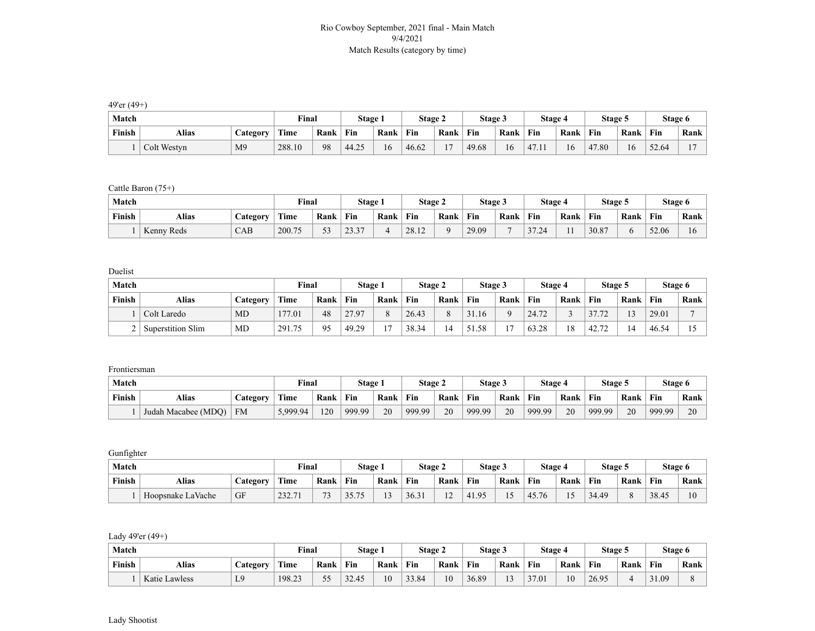## Rio Cowboy September, 2021 final - Main Match 9/4/2021 Match Results (category by time)

49'er (49+)

| Match  |                         |                | Final  |      | Stage 1 |      | Stage 2 |      | Stage 3 |      | Stage 4 |      | Stage 5    |      | Stage 6 |      |
|--------|-------------------------|----------------|--------|------|---------|------|---------|------|---------|------|---------|------|------------|------|---------|------|
| Finish | Alias<br><b>Ategory</b> |                | Time   | Rank | Fin     | Rank | Fin     | Rank | Fin     | Rank | Fin     | Rank | Fin        | Rank | Fin     | Rank |
|        | Colt Westyn             | M <sub>9</sub> | 288.10 | 98   | 44.25   | 16   | 46.62   |      | 49.68   | 16   | 17.11   | .6   | 47.80<br>4 | 16   | 52.64   |      |

## Cattle Baron (75+)

| Match  |                          |     | Final       |      | Stage 1        |      | Stage 2 |      | <b>Stage 3</b> |      | Stage 4 |      | Stage 5 |      | Stage 6 |      |
|--------|--------------------------|-----|-------------|------|----------------|------|---------|------|----------------|------|---------|------|---------|------|---------|------|
| Finish | Alias<br><b>Category</b> |     | <b>Time</b> | Rank | Fin            | Rank | Fin     | Rank | Fin            | Rank | Fin     | Rank | Fin     | Rank | Fin     | Rank |
|        | Kenny Reds               | CAB | 200.75      | ັບ   | 22.77<br>ر. رے |      | 28.12   |      | 29.09          | -    | 37.24   |      | 30.87   |      | 52.06   | 10   |

Duelist

| Match  |                   |                 | Final  |      | Stage 1 |                | Stage 2 |      | Stage 3 |                    | Stage 4 |      | <b>Stage 5</b>                        |                | Stage 6 |      |
|--------|-------------------|-----------------|--------|------|---------|----------------|---------|------|---------|--------------------|---------|------|---------------------------------------|----------------|---------|------|
| Finish | Alias             | <b>lategory</b> | Time   | Rank | Fin     | Rank           | Fin     | Rank | Fin     | Rank               | Fin     | Rank | Fin                                   | Rank           | Fin     | Rank |
|        | Colt Laredo       | MD              | 177.01 | 48   | 27.97   |                | 26.43   |      | 31.16   | $\curvearrowright$ | 24.72   |      |                                       | 1 <sub>2</sub> | 29.01   |      |
|        | Superstition Slim | MD              | 291.75 | 95   | 49.29   | $\overline{z}$ | 38.34   |      | 51.58   | $\sim$             | 63.28   | 18   | $\sqrt{2}$<br>$\mathbf{a}$<br>∸ 4∠. . |                | 46.54   |      |

Frontiersman

| Match  |                     |           | Final    |      | Stage 1 |      | Stage 2 |      | Stage 3 |      | Stage 4 |      | Stage 5 |      | Stage 6 |      |
|--------|---------------------|-----------|----------|------|---------|------|---------|------|---------|------|---------|------|---------|------|---------|------|
| Finish | Alias               | `ategory  | Time     | Rank | Fin     | Rank | Fin     | Rank | Fin     | Rank | Fin     | Rank | Fin     | Rank | Fin     | Rank |
|        | Judah Macabee (MDO) | <b>FM</b> | 5,999.94 | 120  | 999.99  | 20   | 999.99  | 20   | 999.99  | 20   | 999.99  | 20   | 999.99  | 20   | 999.99  | 20   |

Gunfighter

| Match  |                   |    | Final  |              | Stage 1           |        | Stage 2 |                        | Stage 3 |                   | Stage 4          |      | Stage 5 |      | Stage 6 |                |
|--------|-------------------|----|--------|--------------|-------------------|--------|---------|------------------------|---------|-------------------|------------------|------|---------|------|---------|----------------|
| Finish | Alias             |    | Time   | Rank         | Fin               | Rank   | Fin     | Rank                   | Fin     | Rank              | Fin              | Rank | Fin     | Rank | Fin     | Rank           |
|        | Hoopsnake LaVache | GF | 232.71 | $\mathbf{z}$ | 3575<br>- ا . د ر | $\sim$ | 36.31   | 1 <sub>2</sub><br>- 12 | 41.95   | $\epsilon$<br>. . | 45.76<br>TJ. / U |      | 34.49   |      | 38.45   | $\overline{0}$ |

Lady 49'er (49+)

| Match  |               |                 | <b>Final</b> |         | Stage 1 |      | Stage 2 |      | Stage 3 |               | Stage 4 |      | Stage 5 |      |       | Stage 6 |
|--------|---------------|-----------------|--------------|---------|---------|------|---------|------|---------|---------------|---------|------|---------|------|-------|---------|
| Finish | Alias         | <b>Category</b> | Time         | Rank    | Fin     | Rank | Fin     | Rank | Fin     | Rank          | Fin     | Rank | Fin     | Rank | Fin   | Rank    |
|        | Katie Lawless | L <sub>9</sub>  | 198.23       | 55<br>ັ | 32.45   | 10   | 33.84   | 10   | 36.89   | $\sim$<br>l 3 | 37.01   | 10   | 26.95   |      | 31.09 |         |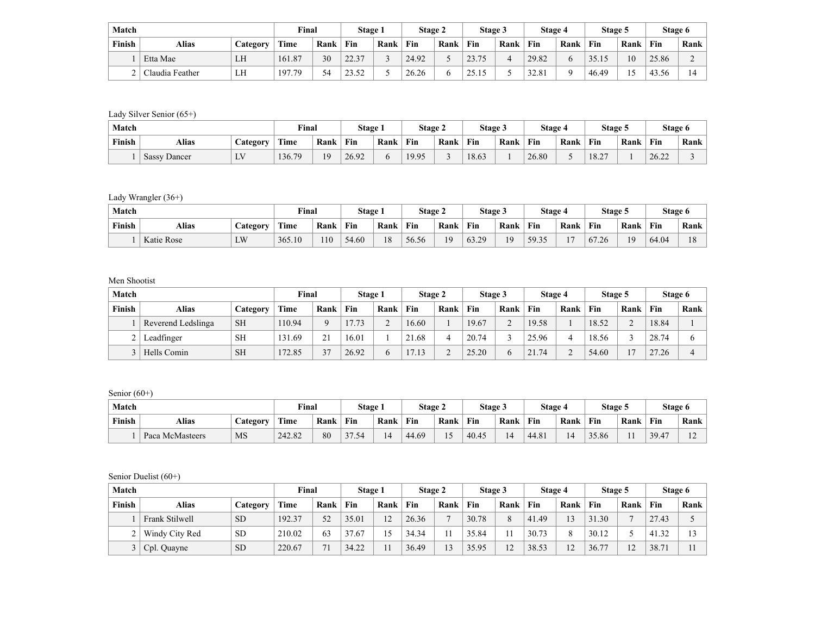| Match  |                 |          | Final  |      | Stage 1 |      | Stage 2 |      | Stage 3 |      | Stage 4 |      | Stage 5 |      | Stage 6 |      |
|--------|-----------------|----------|--------|------|---------|------|---------|------|---------|------|---------|------|---------|------|---------|------|
| Finish | Alias           | Category | Time   | Rank | Fin     | Rank | Fin     | Rank | Fin     | Rank | Fin     | Rank | Fin     | Rank | Fin     | Rank |
|        | Etta Mae        | LH       | 161.87 | 30   | 22.37   |      | 24.92   |      | 23.75   | 4    | 29.82   |      | 35.15   | 10   | 25.86   |      |
|        | Claudia Feather | LH       | 197.79 |      | 23.52   |      | 26.26   |      | 25.15   |      | 32.81   |      | 46.49   |      | 43.56   |      |

Lady Silver Senior (65+)

| Match  |                          |                 | $\nabla$ inal |      | Stage 1 |      | Stage 2 |      | Stage 3 |      | Stage 4 |      | Stage 5                           |      | Stage 6 |      |
|--------|--------------------------|-----------------|---------------|------|---------|------|---------|------|---------|------|---------|------|-----------------------------------|------|---------|------|
| Finish | Alias<br><b>Category</b> |                 | Time          | Rank | Fin     | Rank | Fin     | Rank | Fin     | Rank | Fin     | Rank | Fin                               | Rank | Fin     | Rank |
|        | <b>Sassy Dancer</b>      | <b>TTT</b><br>ு | 136.79        | 19   | 26.92   |      | 19.95   |      | 18.63   |      | 26.80   |      | $\sim$<br>10 <sup>°</sup><br>10.2 |      | 26.22   |      |

Lady Wrangler (36+)

| Match  |                          |    | Final  |      | Stage 1 |      | Stage 2 |      | <b>Stage 3</b> |      | Stage 4 |                | Stage 5 |                |       | Stage 6 |
|--------|--------------------------|----|--------|------|---------|------|---------|------|----------------|------|---------|----------------|---------|----------------|-------|---------|
| Finish | Alias<br><b>Category</b> |    | Time   | Rank | Fin     | Rank | Fin     | Rank | Fin            | Rank | Fin     | Rank           | Fin     | Rank           | Fin   | Rank    |
|        | Katie Rose               | LW | 365.10 | 110  | 54.60   | 18   | 56.56   | 10   | 63.29          | 19   | 59.35   | $\overline{ }$ | 67.26   | 1 <sub>Q</sub> | 64.04 | 18      |

Men Shootist

| Match  |                    |           | Final       |                   | Stage 1 |      | Stage 2 |      | Stage 3 |               | Stage 4 |      | Stage 5 |      |       | Stage 6 |
|--------|--------------------|-----------|-------------|-------------------|---------|------|---------|------|---------|---------------|---------|------|---------|------|-------|---------|
| Finish | Alias              | Category  | <b>Time</b> | Rank              | Fin     | Rank | Fin     | Rank | Fin     | Rank          | Fin     | Rank | Fin     | Rank | Fin   | Rank    |
|        | Reverend Ledslinga | <b>SH</b> | 110.94      |                   | 17.73   |      | 16.60   |      | 19.67   | $\mathcal{L}$ | 19.58   |      | 18.52   |      | 18.84 |         |
|        | Leadfinger         | <b>SH</b> | 131.69      | $\mathbf{\Omega}$ | 16.01   |      | 21.68   |      | 20.74   |               | 25.96   |      | 18.56   |      | 28.74 |         |
|        | Hells Comin        | <b>SH</b> | 172.85      | 37                | 26.92   |      | 17.13   |      | 25.20   | 6             | 21.74   |      | 54.60   |      | 27.26 |         |

Senior (60+)

| Match  |                 |                 | Final       |      | Stage 1 |      | Stage 2 |      | Stage 3 |      | Stage . |      | Stage 5 |      | Stage 6 |        |
|--------|-----------------|-----------------|-------------|------|---------|------|---------|------|---------|------|---------|------|---------|------|---------|--------|
| Finish | Alias           | <b>Category</b> | <b>Time</b> | Rank | Fin     | Rank | Fin     | Rank | Fin     | Rank | Fin     | Rank | Fin     | Rank | Fin     | Rank   |
|        | Paca McMasteers | MS              | 242.82      | 80   | 37.54   | 14   | 44.69   |      | 40.45   | 14   | 44.81   |      | 35.86   |      | 39.47   | $\sim$ |

Senior Duelist (60+)

| Match  |                |           | Final       |      | Stage 1 |                         | Stage 2 |                | Stage 3 |      | Stage 4 |          | Stage 5     |      | Stage 6 |      |
|--------|----------------|-----------|-------------|------|---------|-------------------------|---------|----------------|---------|------|---------|----------|-------------|------|---------|------|
| Finish | Alias          | Category  | <b>Time</b> | Rank | Fin     | Rank                    | Fin     | Rank           | Fin     | Rank | Fin     | Rank     | Fin         | Rank | Fin     | Rank |
|        | Frank Stilwell | <b>SD</b> | 192.37      | 52   | 35.01   | 12                      | 26.36   | $\overline{ }$ | 30.78   | 8    | 41.49   | 13       | 1.30<br>31. | -    | 27.43   |      |
|        | Windy City Red | <b>SD</b> | 210.02      | 63   | 37.67   | $\overline{\mathbf{S}}$ | 34.34   |                | 35.84   | 11   | 30.73   | $\Omega$ | 30.12       |      | 41.32   |      |
|        | Cpl. Quayne    | <b>SD</b> | 220.67      | 71   | 34.22   |                         | 36.49   |                | 35.95   | 12   | 38.53   | 12       | 77<br>36.7  |      | 38.71   |      |